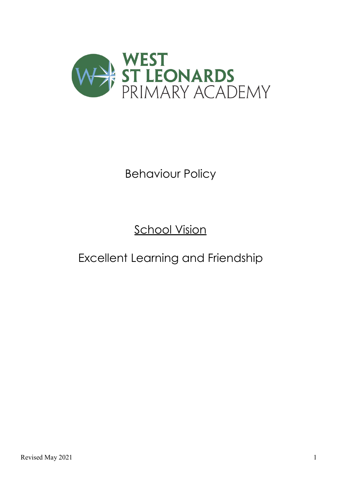

# Behaviour Policy

## **School Vision**

### Excellent Learning and Friendship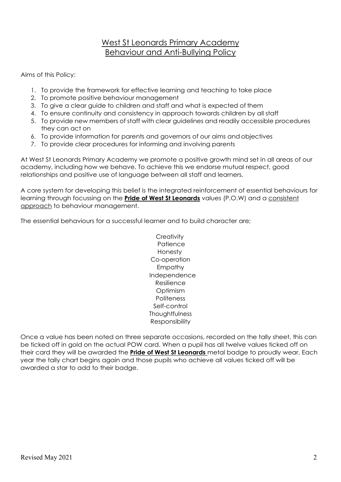### West St Leonards Primary Academy Behaviour and Anti-Bullying Policy

Aims of this Policy:

- 1. To provide the framework for effective learning and teaching to take place
- 2. To promote positive behaviour management
- 3. To give a clear guide to children and staff and what is expected of them
- 4. To ensure continuity and consistency in approach towards children by all staff
- 5. To provide new members of staff with clear guidelines and readily accessible procedures they can act on
- 6. To provide information for parents and governors of our aims and objectives
- 7. To provide clear procedures for informing and involving parents

At West St Leonards Primary Academy we promote a positive growth mind set in all areas of our academy, including how we behave. To achieve this we endorse mutual respect, good relationships and positive use of language between all staff and learners.

A core system for developing this belief is the integrated reinforcement of essential behaviours for learning through focussing on the **Pride of West St Leonards** values (P.O.W) and a consistent approach to behaviour management.

The essential behaviours for a successful learner and to build character are;

**Creativity Patience** Honesty Co-operation Empathy Independence Resilience Optimism **Politeness** Self-control **Thoughtfulness** Responsibility

Once a value has been noted on three separate occasions, recorded on the tally sheet, this can be ticked off in gold on the actual POW card. When a pupil has all twelve values ticked off on their card they will be awarded the **Pride of West St Leonards** metal badge to proudly wear. Each year the tally chart begins again and those pupils who achieve all values ticked off will be awarded a star to add to their badge.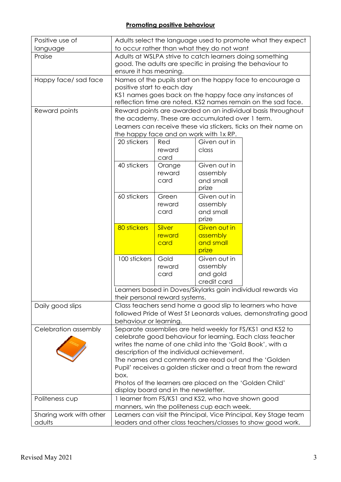| Positive use of         | Adults select the language used to promote what they expect                                               |                                                           |                                                           |                                                               |  |  |
|-------------------------|-----------------------------------------------------------------------------------------------------------|-----------------------------------------------------------|-----------------------------------------------------------|---------------------------------------------------------------|--|--|
| language                | to occur rather than what they do not want                                                                |                                                           |                                                           |                                                               |  |  |
| Praise                  | Adults at WSLPA strive to catch learners doing something                                                  |                                                           |                                                           |                                                               |  |  |
|                         | good. The adults are specific in praising the behaviour to                                                |                                                           |                                                           |                                                               |  |  |
|                         | ensure it has meaning.                                                                                    |                                                           |                                                           |                                                               |  |  |
| Happy face/sad face     | Names of the pupils start on the happy face to encourage a                                                |                                                           |                                                           |                                                               |  |  |
|                         | positive start to each day                                                                                |                                                           |                                                           |                                                               |  |  |
|                         | KS1 names goes back on the happy face any instances of                                                    |                                                           |                                                           |                                                               |  |  |
|                         | reflection time are noted. KS2 names remain on the sad face.                                              |                                                           |                                                           |                                                               |  |  |
| Reward points           | Reward points are awarded on an individual basis throughout                                               |                                                           |                                                           |                                                               |  |  |
|                         | the academy. These are accumulated over 1 term.                                                           |                                                           |                                                           |                                                               |  |  |
|                         | Learners can receive these via stickers, ticks on their name on<br>the happy face and on work with 1x RP. |                                                           |                                                           |                                                               |  |  |
|                         |                                                                                                           |                                                           |                                                           |                                                               |  |  |
|                         | 20 stickers                                                                                               | Red                                                       | Given out in                                              |                                                               |  |  |
|                         |                                                                                                           | reward                                                    | class                                                     |                                                               |  |  |
|                         |                                                                                                           | card                                                      |                                                           |                                                               |  |  |
|                         | 40 stickers                                                                                               | Orange                                                    | Given out in                                              |                                                               |  |  |
|                         |                                                                                                           | reward                                                    | assembly                                                  |                                                               |  |  |
|                         |                                                                                                           | card                                                      | and small                                                 |                                                               |  |  |
|                         |                                                                                                           |                                                           | prize                                                     |                                                               |  |  |
|                         | 60 stickers                                                                                               | Green                                                     | Given out in                                              |                                                               |  |  |
|                         |                                                                                                           | reward                                                    | assembly                                                  |                                                               |  |  |
|                         |                                                                                                           | card                                                      | and small                                                 |                                                               |  |  |
|                         |                                                                                                           |                                                           | prize                                                     |                                                               |  |  |
|                         | 80 stickers                                                                                               | Silver                                                    | Given out in                                              |                                                               |  |  |
|                         |                                                                                                           | reward                                                    | assembly                                                  |                                                               |  |  |
|                         |                                                                                                           | card                                                      | and small                                                 |                                                               |  |  |
|                         |                                                                                                           |                                                           | prize                                                     |                                                               |  |  |
|                         | 100 stickers                                                                                              | Gold                                                      | Given out in                                              |                                                               |  |  |
|                         |                                                                                                           | reward                                                    | assembly                                                  |                                                               |  |  |
|                         |                                                                                                           | card                                                      | and gold                                                  |                                                               |  |  |
|                         |                                                                                                           |                                                           | credit card                                               |                                                               |  |  |
|                         |                                                                                                           |                                                           |                                                           | Learners based in Doves/Skylarks gain individual rewards via  |  |  |
|                         | their personal reward systems.                                                                            |                                                           |                                                           |                                                               |  |  |
| Daily good slips        |                                                                                                           | Class teachers send home a good slip to learners who have |                                                           |                                                               |  |  |
|                         |                                                                                                           |                                                           |                                                           | followed Pride of West St Leonards values, demonstrating good |  |  |
|                         | behaviour or learning.                                                                                    |                                                           |                                                           |                                                               |  |  |
| Celebration assembly    |                                                                                                           |                                                           |                                                           | Separate assemblies are held weekly for FS/KS1 and KS2 to     |  |  |
|                         |                                                                                                           |                                                           |                                                           | celebrate good behaviour for learning. Each class teacher     |  |  |
|                         |                                                                                                           |                                                           | writes the name of one child into the 'Gold Book', with a |                                                               |  |  |
|                         | description of the individual achievement.                                                                |                                                           |                                                           |                                                               |  |  |
|                         | The names and comments are read out and the 'Golden                                                       |                                                           |                                                           |                                                               |  |  |
|                         | Pupil' receives a golden sticker and a treat from the reward                                              |                                                           |                                                           |                                                               |  |  |
|                         | box.                                                                                                      |                                                           |                                                           |                                                               |  |  |
|                         | Photos of the learners are placed on the 'Golden Child'<br>display board and in the newsletter.           |                                                           |                                                           |                                                               |  |  |
| Politeness cup          | 1 learner from FS/KS1 and KS2, who have shown good                                                        |                                                           |                                                           |                                                               |  |  |
|                         | manners, win the politeness cup each week.                                                                |                                                           |                                                           |                                                               |  |  |
| Sharing work with other | Learners can visit the Principal, Vice Principal, Key Stage team                                          |                                                           |                                                           |                                                               |  |  |
| adults                  | leaders and other class teachers/classes to show good work.                                               |                                                           |                                                           |                                                               |  |  |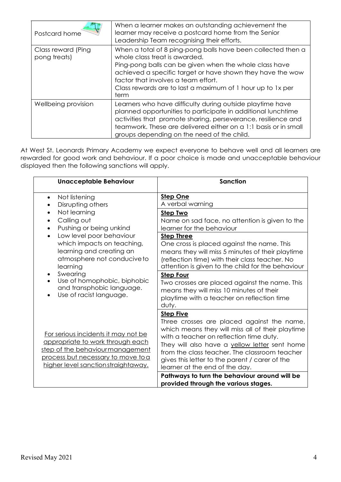| Postcard home                      | When a learner makes an outstanding achievement the<br>learner may receive a postcard home from the Senior<br>Leadership Team recognising their efforts.                                                                                                                                                                           |
|------------------------------------|------------------------------------------------------------------------------------------------------------------------------------------------------------------------------------------------------------------------------------------------------------------------------------------------------------------------------------|
| Class reward (Ping<br>pong treats) | When a total of 8 ping-pong balls have been collected then a<br>whole class treat is awarded.<br>Ping-pong balls can be given when the whole class have<br>achieved a specific target or have shown they have the wow<br>factor that involves a team effort.<br>Class rewards are to last a maximum of 1 hour up to 1x per<br>term |
| Wellbeing provision                | Learners who have difficulty during outside playtime have<br>planned opportunities to participate in additional lunchtime<br>activities that promote sharing, perseverance, resilience and<br>teamwork. These are delivered either on a 1:1 basis or in small<br>groups depending on the need of the child.                        |

At West St. Leonards Primary Academy we expect everyone to behave well and all learners are rewarded for good work and behaviour. If a poor choice is made and unacceptable behaviour displayed then the following sanctions will apply.

| <b>Unacceptable Behaviour</b>                                                                                                                                                                                                                 | <b>Sanction</b>                                                                                                                                                                                                                                                                                                                                                                                    |
|-----------------------------------------------------------------------------------------------------------------------------------------------------------------------------------------------------------------------------------------------|----------------------------------------------------------------------------------------------------------------------------------------------------------------------------------------------------------------------------------------------------------------------------------------------------------------------------------------------------------------------------------------------------|
| Not listening<br>$\bullet$<br>Disrupting others                                                                                                                                                                                               | <b>Step One</b><br>A verbal warning                                                                                                                                                                                                                                                                                                                                                                |
| Not learning<br>Calling out<br>Pushing or being unkind                                                                                                                                                                                        | <b>Step Two</b><br>Name on sad face, no attention is given to the<br>learner for the behaviour                                                                                                                                                                                                                                                                                                     |
| Low level poor behaviour<br>$\bullet$<br>which impacts on teaching,<br>learning and creating an<br>atmosphere not conducive to<br>learning<br>Swearing<br>Use of homophobic, biphobic<br>and transphobic language.<br>Use of racist language. | <b>Step Three</b><br>One cross is placed against the name. This<br>means they will miss 5 minutes of their playtime<br>(reflection time) with their class teacher. No<br>attention is given to the child for the behaviour<br><b>Step Four</b><br>Two crosses are placed against the name. This<br>means they will miss 10 minutes of their<br>playtime with a teacher on reflection time<br>duty. |
| For serious incidents it may not be<br>appropriate to work through each<br>step of the behaviourmanagement<br>process but necessary to move to a<br>higher level sanction straightaway.                                                       | <b>Step Five</b><br>Three crosses are placed against the name,<br>which means they will miss all of their playtime<br>with a teacher on reflection time duty.<br>They will also have a yellow letter sent home<br>from the class teacher. The classroom teacher<br>gives this letter to the parent / carer of the<br>learner at the end of the day.                                                |
|                                                                                                                                                                                                                                               | Pathways to turn the behaviour around will be<br>provided through the various stages.                                                                                                                                                                                                                                                                                                              |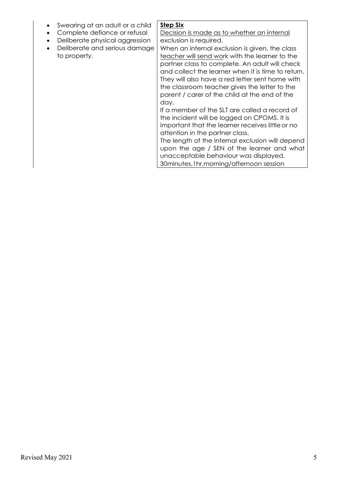- Swearing at an adult or a child
- Complete defiance or refusal
- Deliberate physical aggression
- Deliberate and serious damage to property.

Decision is made as to whether an internal exclusion is required.

**Step Six**

When an internal exclusion is given, the class teacher will send work with the learner to the partner class to complete. An adult will check and collect the learner when it is time to return. They will also have a red letter sent home with the classroom teacher gives the letter to the parent / carer of the child at the end of the day.

If a member of the SLT are called a record of the incident will be logged on CPOMS. It is important that the learner receives littleor no attention in the partner class.

The length of the internal exclusion will depend upon the age / SEN of the learner and what unacceptable behaviour was displayed. 30minutes,1hr,morning/afternoon session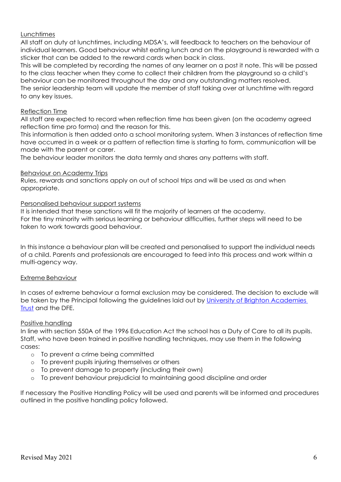#### Lunchtimes

All staff on duty at lunchtimes, including MDSA's, will feedback to teachers on the behaviour of individual learners. Good behaviour whilst eating lunch and on the playground is rewarded with a sticker that can be added to the reward cards when back in class.

This will be completed by recording the names of any learner on a post it note. This will be passed to the class teacher when they come to collect their children from the playground so a child's behaviour can be monitored throughout the day and any outstanding matters resolved. The senior leadership team will update the member of staff taking over at lunchtime with regard to any key issues.

#### Reflection Time

All staff are expected to record when reflection time has been given (on the academy agreed reflection time pro forma) and the reason for this.

This information is then added onto a school monitoring system. When 3 instances of reflection time have occurred in a week or a pattern of reflection time is starting to form, communication will be made with the parent or carer.

The behaviour leader monitors the data termly and shares any patterns with staff.

#### Behaviour on Academy Trips

Rules, rewards and sanctions apply on out of school trips and will be used as and when appropriate.

#### Personalised behaviour support systems

It is intended that these sanctions will fit the majority of learners at the academy. For the tiny minority with serious learning or behaviour difficulties, further steps will need to be taken to work towards good behaviour.

In this instance a behaviour plan will be created and personalised to support the individual needs of a child. Parents and professionals are encouraged to feed into this process and work within a multi-agency way.

### Extreme Behaviour

In cases of extreme behaviour a formal exclusion may be considered. The decision to exclude will be taken by the Principal following the guidelines laid out by [University of Brighton](https://www.brightonacademiestrust.org.uk/fs/resource-manager/view/87c087f6-d5b7-47b5-b122-af20df6f7678) Academies [Trust](https://www.brightonacademiestrust.org.uk/fs/resource-manager/view/87c087f6-d5b7-47b5-b122-af20df6f7678) and the DFE.

#### Positive handling

In line with section 550A of the 1996 Education Act the school has a Duty of Care to all its pupils. Staff, who have been trained in positive handling techniques, may use them in the following cases:

- o To prevent a crime being committed
- o To prevent pupils injuring themselves or others
- o To prevent damage to property (including their own)
- o To prevent behaviour prejudicial to maintaining good discipline and order

If necessary the Positive Handling Policy will be used and parents will be informed and procedures outlined in the positive handling policy followed.